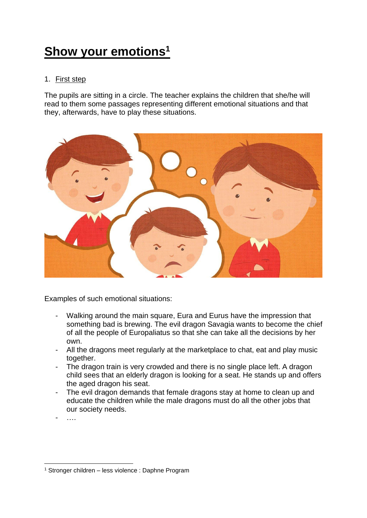## **Show your emotions<sup>1</sup>**

## 1. First step

The pupils are sitting in a circle. The teacher explains the children that she/he will read to them some passages representing different emotional situations and that they, afterwards, have to play these situations.



Examples of such emotional situations:

- Walking around the main square, Eura and Eurus have the impression that something bad is brewing. The evil dragon Savagia wants to become the chief of all the people of Europaliatus so that she can take all the decisions by her own.
- All the dragons meet regularly at the marketplace to chat, eat and play music together.
- The dragon train is very crowded and there is no single place left. A dragon child sees that an elderly dragon is looking for a seat. He stands up and offers the aged dragon his seat.
- The evil dragon demands that female dragons stay at home to clean up and educate the children while the male dragons must do all the other jobs that our society needs.

- ….

<sup>1</sup> Stronger children – less violence : Daphne Program